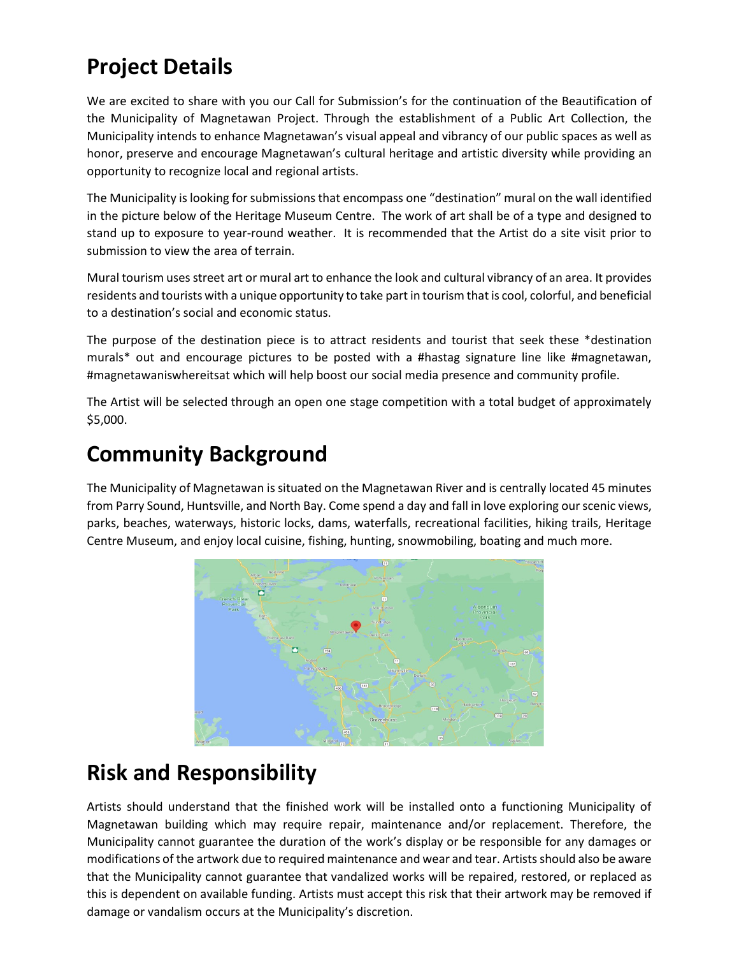# **Project Details**

We are excited to share with you our Call for Submission's for the continuation of the Beautification of the Municipality of Magnetawan Project. Through the establishment of a Public Art Collection, the Municipality intends to enhance Magnetawan's visual appeal and vibrancy of our public spaces as well as honor, preserve and encourage Magnetawan's cultural heritage and artistic diversity while providing an opportunity to recognize local and regional artists.

The Municipality is looking for submissions that encompass one "destination" mural on the wall identified in the picture below of the Heritage Museum Centre. The work of art shall be of a type and designed to stand up to exposure to year-round weather. It is recommended that the Artist do a site visit prior to submission to view the area of terrain.

Mural tourism uses street art or mural art to enhance the look and cultural vibrancy of an area. It provides residents and tourists with a unique opportunity to take part in tourism that is cool, colorful, and beneficial to a destination's social and economic status.

The purpose of the destination piece is to attract residents and tourist that seek these \*destination murals\* out and encourage pictures to be posted with a #hastag signature line like #magnetawan, #magnetawaniswhereitsat which will help boost our social media presence and community profile.

The Artist will be selected through an open one stage competition with a total budget of approximately \$5,000.

### **Community Background**

The Municipality of Magnetawan is situated on the Magnetawan River and is centrally located 45 minutes from Parry Sound, Huntsville, and North Bay. Come spend a day and fall in love exploring our scenic views, parks, beaches, waterways, historic locks, dams, waterfalls, recreational facilities, hiking trails, Heritage Centre Museum, and enjoy local cuisine, fishing, hunting, snowmobiling, boating and much more.



## **Risk and Responsibility**

Artists should understand that the finished work will be installed onto a functioning Municipality of Magnetawan building which may require repair, maintenance and/or replacement. Therefore, the Municipality cannot guarantee the duration of the work's display or be responsible for any damages or modifications of the artwork due to required maintenance and wear and tear. Artists should also be aware that the Municipality cannot guarantee that vandalized works will be repaired, restored, or replaced as this is dependent on available funding. Artists must accept this risk that their artwork may be removed if damage or vandalism occurs at the Municipality's discretion.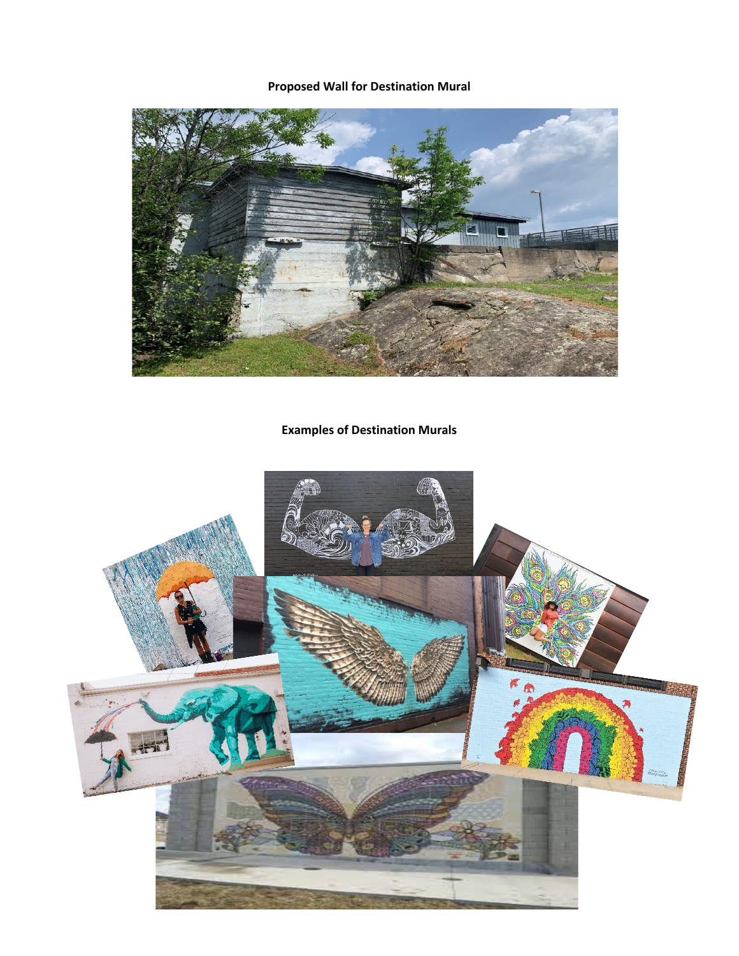#### **Proposed Wall for Destination Mural**



### **Examples of Destination Murals**